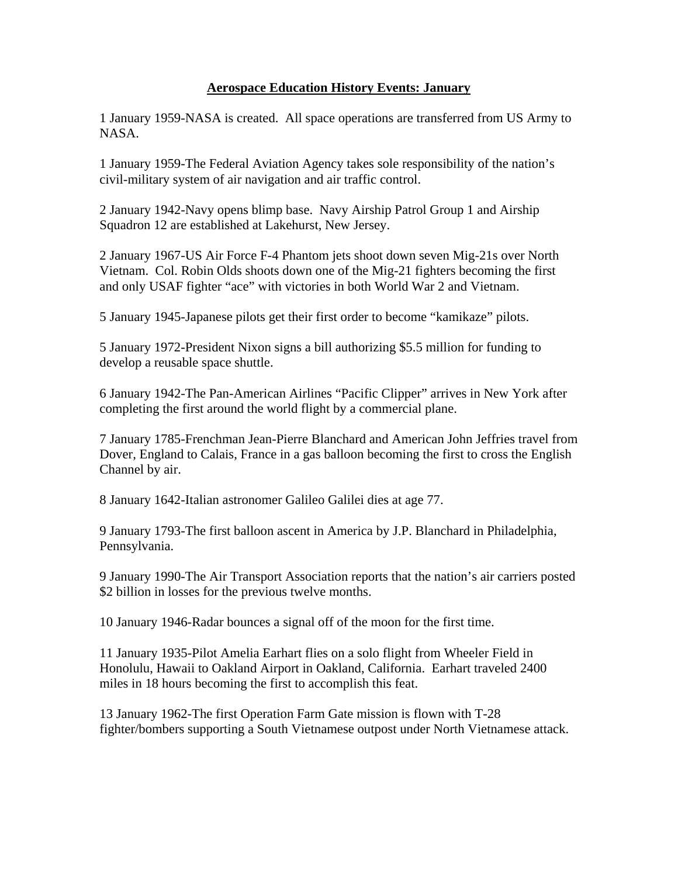## **Aerospace Education History Events: January**

1 January 1959-NASA is created. All space operations are transferred from US Army to NASA.

1 January 1959-The Federal Aviation Agency takes sole responsibility of the nation's civil-military system of air navigation and air traffic control.

2 January 1942-Navy opens blimp base. Navy Airship Patrol Group 1 and Airship Squadron 12 are established at Lakehurst, New Jersey.

2 January 1967-US Air Force F-4 Phantom jets shoot down seven Mig-21s over North Vietnam. Col. Robin Olds shoots down one of the Mig-21 fighters becoming the first and only USAF fighter "ace" with victories in both World War 2 and Vietnam.

5 January 1945-Japanese pilots get their first order to become "kamikaze" pilots.

5 January 1972-President Nixon signs a bill authorizing \$5.5 million for funding to develop a reusable space shuttle.

6 January 1942-The Pan-American Airlines "Pacific Clipper" arrives in New York after completing the first around the world flight by a commercial plane.

7 January 1785-Frenchman Jean-Pierre Blanchard and American John Jeffries travel from Dover, England to Calais, France in a gas balloon becoming the first to cross the English Channel by air.

8 January 1642-Italian astronomer Galileo Galilei dies at age 77.

9 January 1793-The first balloon ascent in America by J.P. Blanchard in Philadelphia, Pennsylvania.

9 January 1990-The Air Transport Association reports that the nation's air carriers posted \$2 billion in losses for the previous twelve months.

10 January 1946-Radar bounces a signal off of the moon for the first time.

11 January 1935-Pilot Amelia Earhart flies on a solo flight from Wheeler Field in Honolulu, Hawaii to Oakland Airport in Oakland, California. Earhart traveled 2400 miles in 18 hours becoming the first to accomplish this feat.

13 January 1962-The first Operation Farm Gate mission is flown with T-28 fighter/bombers supporting a South Vietnamese outpost under North Vietnamese attack.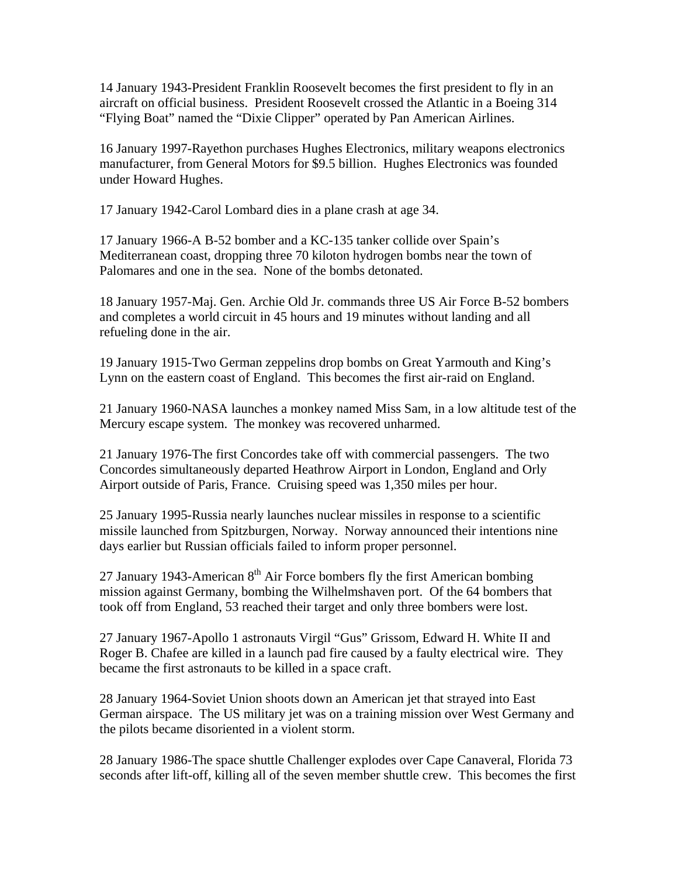14 January 1943-President Franklin Roosevelt becomes the first president to fly in an aircraft on official business. President Roosevelt crossed the Atlantic in a Boeing 314 "Flying Boat" named the "Dixie Clipper" operated by Pan American Airlines.

16 January 1997-Rayethon purchases Hughes Electronics, military weapons electronics manufacturer, from General Motors for \$9.5 billion. Hughes Electronics was founded under Howard Hughes.

17 January 1942-Carol Lombard dies in a plane crash at age 34.

17 January 1966-A B-52 bomber and a KC-135 tanker collide over Spain's Mediterranean coast, dropping three 70 kiloton hydrogen bombs near the town of Palomares and one in the sea. None of the bombs detonated.

18 January 1957-Maj. Gen. Archie Old Jr. commands three US Air Force B-52 bombers and completes a world circuit in 45 hours and 19 minutes without landing and all refueling done in the air.

19 January 1915-Two German zeppelins drop bombs on Great Yarmouth and King's Lynn on the eastern coast of England. This becomes the first air-raid on England.

21 January 1960-NASA launches a monkey named Miss Sam, in a low altitude test of the Mercury escape system. The monkey was recovered unharmed.

21 January 1976-The first Concordes take off with commercial passengers. The two Concordes simultaneously departed Heathrow Airport in London, England and Orly Airport outside of Paris, France. Cruising speed was 1,350 miles per hour.

25 January 1995-Russia nearly launches nuclear missiles in response to a scientific missile launched from Spitzburgen, Norway. Norway announced their intentions nine days earlier but Russian officials failed to inform proper personnel.

27 January 1943-American  $8<sup>th</sup>$  Air Force bombers fly the first American bombing mission against Germany, bombing the Wilhelmshaven port. Of the 64 bombers that took off from England, 53 reached their target and only three bombers were lost.

27 January 1967-Apollo 1 astronauts Virgil "Gus" Grissom, Edward H. White II and Roger B. Chafee are killed in a launch pad fire caused by a faulty electrical wire. They became the first astronauts to be killed in a space craft.

28 January 1964-Soviet Union shoots down an American jet that strayed into East German airspace. The US military jet was on a training mission over West Germany and the pilots became disoriented in a violent storm.

28 January 1986-The space shuttle Challenger explodes over Cape Canaveral, Florida 73 seconds after lift-off, killing all of the seven member shuttle crew. This becomes the first